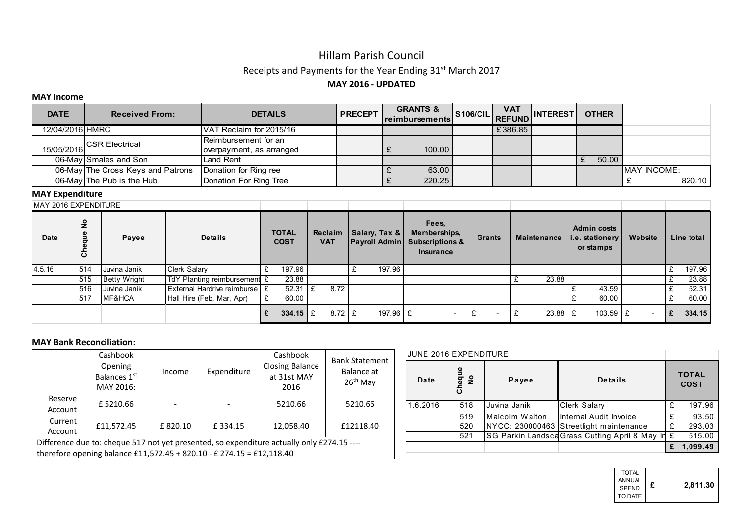# Hillam Parish Council Receipts and Payments for the Year Ending 31st March 2017 MAY 2016 - UPDATED

#### MAY Income

| <b>DATE</b>     | <b>Received From:</b>             | <b>DETAILS</b>                | <b>PRECEPT</b> | <b>GRANTS &amp;</b><br>Ireimbursements | <b>VAT</b> | S106/CIL REFUND INTEREST | <b>OTHER</b> |                     |
|-----------------|-----------------------------------|-------------------------------|----------------|----------------------------------------|------------|--------------------------|--------------|---------------------|
| 12/04/2016 HMRC |                                   | IVAT Reclaim for 2015/16      |                |                                        | £386.85    |                          |              |                     |
|                 | CSR Electrical                    | <b>I</b> Reimbursement for an |                |                                        |            |                          |              |                     |
| 15/05/2016      |                                   | overpayment, as arranged      |                | 100.00                                 |            |                          |              |                     |
|                 | 06-May Smales and Son             | Land Rent                     |                |                                        |            |                          | 50.00        |                     |
|                 | 06-May The Cross Keys and Patrons | Donation for Ring ree         |                | 63.00                                  |            |                          |              | <b>IMAY INCOME:</b> |
|                 | 06-May The Pub is the Hub         | Donation For Ring Tree        |                | 220.25                                 |            |                          |              | 820.10              |

### MAY Expenditure

| MAY 2016 EXPENDITURE |                                    |                     |                                 |                             |                      |                       |                               |                                                                                       |                          |             |                                                    |         |            |
|----------------------|------------------------------------|---------------------|---------------------------------|-----------------------------|----------------------|-----------------------|-------------------------------|---------------------------------------------------------------------------------------|--------------------------|-------------|----------------------------------------------------|---------|------------|
| Date                 | $\frac{6}{5}$<br>Ф<br>콩<br>Φ<br>ర్ | Payee               | <b>Details</b>                  | <b>TOTAL</b><br><b>COST</b> |                      | Reclaim<br><b>VAT</b> | $\vert$ Salary, Tax & $\vert$ | Fees.<br>Memberships,<br><b>Payroll Admin Subscriptions &amp;</b><br><b>Insurance</b> | <b>Grants</b>            | Maintenance | <b>Admin costs</b><br>i.e. stationery<br>or stamps | Website | Line total |
| 4.5.16               | 514                                | Juvina Janik        | <b>Clerk Salary</b>             |                             | 197.96               |                       | 197.96                        |                                                                                       |                          |             |                                                    |         | 197.96     |
|                      | 515                                | <b>Betty Wright</b> | TdY Planting reimbursement £    |                             | 23.88                |                       |                               |                                                                                       |                          | 23.88       |                                                    |         | 23.88      |
|                      | 516                                | Juvina Janik        | External Hardrive reimburse   £ |                             | 52.31                | 8.72<br>1£            |                               |                                                                                       |                          |             | 43.59                                              |         | 52.31      |
|                      | 517                                | MF&HCA              | Hall Hire (Feb, Mar, Apr)       |                             | 60.00                |                       |                               |                                                                                       |                          |             | 60.00                                              |         | 60.00      |
|                      |                                    |                     |                                 |                             | $334.15 \, \text{E}$ | $8.72 \text{ E}$      | 197.96 $E$                    |                                                                                       | $\overline{\phantom{a}}$ | $23.88$ $E$ | $103.59$ E                                         |         | 334.15     |

#### MAY Bank Reconciliation:

|                                                                                            | Cashbook<br>Opening<br>Balances 1st<br>MAY 2016: | Income  | Expenditure | Cashbook<br><b>Closing Balance</b><br>at 31st MAY<br>2016 | <b>Bank Statement</b><br>Balance at<br>$26th$ May |  |  |  |  |  |
|--------------------------------------------------------------------------------------------|--------------------------------------------------|---------|-------------|-----------------------------------------------------------|---------------------------------------------------|--|--|--|--|--|
| Reserve<br>Account                                                                         | £5210.66                                         |         |             | 5210.66                                                   | 5210.66                                           |  |  |  |  |  |
| Current<br>Account                                                                         | £11,572.45                                       | £820.10 | £334.15     | 12,058.40                                                 | £12118.40                                         |  |  |  |  |  |
| Difference due to: cheque 517 not yet presented, so expenditure actually only £274.15 ---- |                                                  |         |             |                                                           |                                                   |  |  |  |  |  |
| therefore opening balance £11,572.45 + 820.10 - £ 274.15 = £12,118.40                      |                                                  |         |             |                                                           |                                                   |  |  |  |  |  |

| <b>JUNE 2016 EXPENDITURE</b> |              |                |                                                  |   |                             |
|------------------------------|--------------|----------------|--------------------------------------------------|---|-----------------------------|
| Date                         | Cheque<br>No | Payee          | Details                                          |   | <b>TOTAL</b><br><b>COST</b> |
| 1.6.2016                     | 518          | Juvina Janik   | <b>Clerk Salary</b>                              | £ | 197.96                      |
|                              | 519          | Malcolm Walton | Internal Audit Invoice                           | £ | 93.50                       |
|                              | 520          |                | NYCC: 230000463 Streetlight maintenance          | £ | 293.03                      |
|                              | 521          |                | SG Parkin Landsca Grass Cutting April & May In £ |   | 515.00                      |
|                              |              |                |                                                  | £ | 1,099.49                    |

| <b>TOTAL</b><br><b>ANNUAL</b><br>SPEND<br>TO DATE I | £ | 2,811.30 |
|-----------------------------------------------------|---|----------|
|-----------------------------------------------------|---|----------|